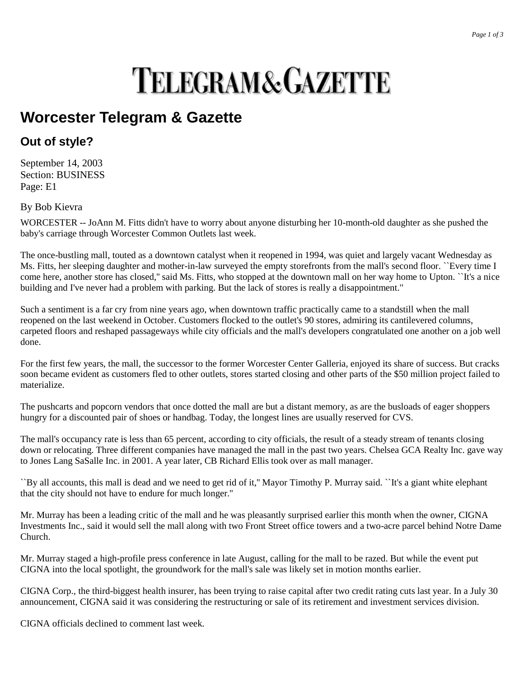## **TELEGRAM&GAZETTE**

## **Worcester Telegram & Gazette**

## **Out of style?**

September 14, 2003 Section: BUSINESS Page: E1

By Bob Kievra

WORCESTER -- JoAnn M. Fitts didn't have to worry about anyone disturbing her 10-month-old daughter as she pushed the baby's carriage through Worcester Common Outlets last week.

The once-bustling mall, touted as a downtown catalyst when it reopened in 1994, was quiet and largely vacant Wednesday as Ms. Fitts, her sleeping daughter and mother-in-law surveyed the empty storefronts from the mall's second floor. ``Every time I come here, another store has closed,'' said Ms. Fitts, who stopped at the downtown mall on her way home to Upton. ``It's a nice building and I've never had a problem with parking. But the lack of stores is really a disappointment.''

Such a sentiment is a far cry from nine years ago, when downtown traffic practically came to a standstill when the mall reopened on the last weekend in October. Customers flocked to the outlet's 90 stores, admiring its cantilevered columns, carpeted floors and reshaped passageways while city officials and the mall's developers congratulated one another on a job well done.

For the first few years, the mall, the successor to the former Worcester Center Galleria, enjoyed its share of success. But cracks soon became evident as customers fled to other outlets, stores started closing and other parts of the \$50 million project failed to materialize.

The pushcarts and popcorn vendors that once dotted the mall are but a distant memory, as are the busloads of eager shoppers hungry for a discounted pair of shoes or handbag. Today, the longest lines are usually reserved for CVS.

The mall's occupancy rate is less than 65 percent, according to city officials, the result of a steady stream of tenants closing down or relocating. Three different companies have managed the mall in the past two years. Chelsea GCA Realty Inc. gave way to Jones Lang SaSalle Inc. in 2001. A year later, CB Richard Ellis took over as mall manager.

``By all accounts, this mall is dead and we need to get rid of it,'' Mayor Timothy P. Murray said. ``It's a giant white elephant that the city should not have to endure for much longer.''

Mr. Murray has been a leading critic of the mall and he was pleasantly surprised earlier this month when the owner, CIGNA Investments Inc., said it would sell the mall along with two Front Street office towers and a two-acre parcel behind Notre Dame Church.

Mr. Murray staged a high-profile press conference in late August, calling for the mall to be razed. But while the event put CIGNA into the local spotlight, the groundwork for the mall's sale was likely set in motion months earlier.

CIGNA Corp., the third-biggest health insurer, has been trying to raise capital after two credit rating cuts last year. In a July 30 announcement, CIGNA said it was considering the restructuring or sale of its retirement and investment services division.

CIGNA officials declined to comment last week.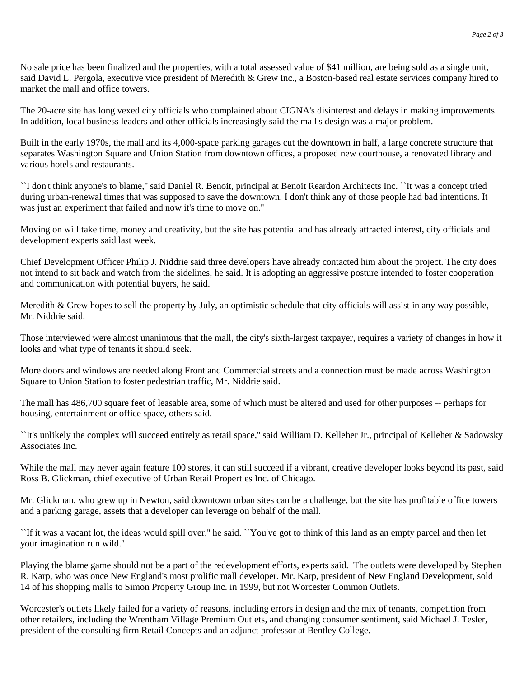No sale price has been finalized and the properties, with a total assessed value of \$41 million, are being sold as a single unit, said David L. Pergola, executive vice president of Meredith & Grew Inc., a Boston-based real estate services company hired to market the mall and office towers.

The 20-acre site has long vexed city officials who complained about CIGNA's disinterest and delays in making improvements. In addition, local business leaders and other officials increasingly said the mall's design was a major problem.

Built in the early 1970s, the mall and its 4,000-space parking garages cut the downtown in half, a large concrete structure that separates Washington Square and Union Station from downtown offices, a proposed new courthouse, a renovated library and various hotels and restaurants.

``I don't think anyone's to blame,'' said Daniel R. Benoit, principal at Benoit Reardon Architects Inc. ``It was a concept tried during urban-renewal times that was supposed to save the downtown. I don't think any of those people had bad intentions. It was just an experiment that failed and now it's time to move on.''

Moving on will take time, money and creativity, but the site has potential and has already attracted interest, city officials and development experts said last week.

Chief Development Officer Philip J. Niddrie said three developers have already contacted him about the project. The city does not intend to sit back and watch from the sidelines, he said. It is adopting an aggressive posture intended to foster cooperation and communication with potential buyers, he said.

Meredith & Grew hopes to sell the property by July, an optimistic schedule that city officials will assist in any way possible, Mr. Niddrie said.

Those interviewed were almost unanimous that the mall, the city's sixth-largest taxpayer, requires a variety of changes in how it looks and what type of tenants it should seek.

More doors and windows are needed along Front and Commercial streets and a connection must be made across Washington Square to Union Station to foster pedestrian traffic, Mr. Niddrie said.

The mall has 486,700 square feet of leasable area, some of which must be altered and used for other purposes -- perhaps for housing, entertainment or office space, others said.

``It's unlikely the complex will succeed entirely as retail space,'' said William D. Kelleher Jr., principal of Kelleher & Sadowsky Associates Inc.

While the mall may never again feature 100 stores, it can still succeed if a vibrant, creative developer looks beyond its past, said Ross B. Glickman, chief executive of Urban Retail Properties Inc. of Chicago.

Mr. Glickman, who grew up in Newton, said downtown urban sites can be a challenge, but the site has profitable office towers and a parking garage, assets that a developer can leverage on behalf of the mall.

``If it was a vacant lot, the ideas would spill over,'' he said. ``You've got to think of this land as an empty parcel and then let your imagination run wild.''

Playing the blame game should not be a part of the redevelopment efforts, experts said. The outlets were developed by Stephen R. Karp, who was once New England's most prolific mall developer. Mr. Karp, president of New England Development, sold 14 of his shopping malls to Simon Property Group Inc. in 1999, but not Worcester Common Outlets.

Worcester's outlets likely failed for a variety of reasons, including errors in design and the mix of tenants, competition from other retailers, including the Wrentham Village Premium Outlets, and changing consumer sentiment, said Michael J. Tesler, president of the consulting firm Retail Concepts and an adjunct professor at Bentley College.